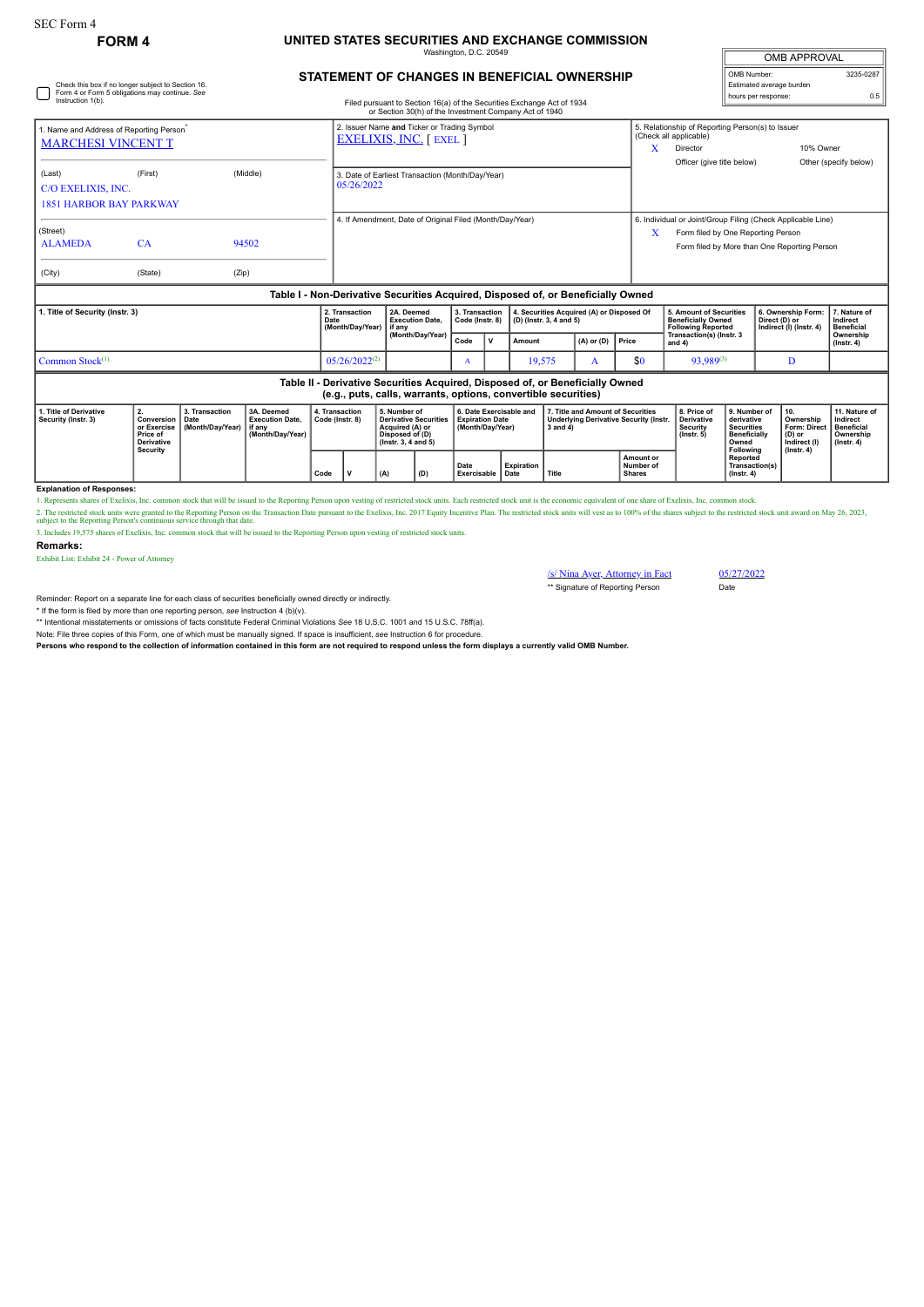## **FORM 4 UNITED STATES SECURITIES AND EXCHANGE COMMISSION** ington, D.C. 20

| <b>OMB APPROVAL</b>      |           |  |  |  |  |  |  |  |
|--------------------------|-----------|--|--|--|--|--|--|--|
| OMB Number:              | 3235-0287 |  |  |  |  |  |  |  |
| Estimated average burden |           |  |  |  |  |  |  |  |
| hours per response:      | 0.5       |  |  |  |  |  |  |  |

## **STATEMENT OF CHANGES IN BENEFICIAL OWNERSHIP**

| Check this box if no longer subject to Section 16.<br>Form 4 or Form 5 obligations may continue. See<br>Instruction 1(b).<br>Filed pursuant to Section 16(a) of the Securities Exchange Act of 1934<br>or Section 30(h) of the Investment Company Act of 1940 |                                                                              |                                                                |                                                                                  |                                   |                                                                               |        |                                                                                                                 |                                                  |                                                                       |                        |                                                                                                    |                                                                               |                                                                                                                                                   |                                                                                                     |                                                                                              | Estimated average burden<br>hours per response:                                       | 0.5                                                                             |  |
|---------------------------------------------------------------------------------------------------------------------------------------------------------------------------------------------------------------------------------------------------------------|------------------------------------------------------------------------------|----------------------------------------------------------------|----------------------------------------------------------------------------------|-----------------------------------|-------------------------------------------------------------------------------|--------|-----------------------------------------------------------------------------------------------------------------|--------------------------------------------------|-----------------------------------------------------------------------|------------------------|----------------------------------------------------------------------------------------------------|-------------------------------------------------------------------------------|---------------------------------------------------------------------------------------------------------------------------------------------------|-----------------------------------------------------------------------------------------------------|----------------------------------------------------------------------------------------------|---------------------------------------------------------------------------------------|---------------------------------------------------------------------------------|--|
| 1. Name and Address of Reporting Person <sup>®</sup><br><b>MARCHESI VINCENT T</b>                                                                                                                                                                             |                                                                              |                                                                |                                                                                  |                                   | 2. Issuer Name and Ticker or Trading Symbol<br><b>EXELIXIS, INC.</b> [ EXEL ] |        |                                                                                                                 |                                                  |                                                                       |                        |                                                                                                    |                                                                               | X                                                                                                                                                 | 5. Relationship of Reporting Person(s) to Issuer<br>(Check all applicable)<br>10% Owner<br>Director |                                                                                              |                                                                                       |                                                                                 |  |
| (Last)<br>C/O EXELIXIS, INC.<br><b>1851 HARBOR BAY PARKWAY</b>                                                                                                                                                                                                |                                                                              | 3. Date of Earliest Transaction (Month/Day/Year)<br>05/26/2022 |                                                                                  |                                   |                                                                               |        |                                                                                                                 |                                                  |                                                                       |                        | Officer (give title below)                                                                         |                                                                               |                                                                                                                                                   | Other (specify below)                                                                               |                                                                                              |                                                                                       |                                                                                 |  |
| (Street)<br><b>ALAMEDA</b>                                                                                                                                                                                                                                    | CA                                                                           |                                                                | 94502                                                                            |                                   | 4. If Amendment, Date of Original Filed (Month/Day/Year)                      |        |                                                                                                                 |                                                  |                                                                       |                        |                                                                                                    | X                                                                             | 6. Individual or Joint/Group Filing (Check Applicable Line)<br>Form filed by One Reporting Person<br>Form filed by More than One Reporting Person |                                                                                                     |                                                                                              |                                                                                       |                                                                                 |  |
| (City)                                                                                                                                                                                                                                                        | (State)                                                                      | (Zip)                                                          | Table I - Non-Derivative Securities Acquired, Disposed of, or Beneficially Owned |                                   |                                                                               |        |                                                                                                                 |                                                  |                                                                       |                        |                                                                                                    |                                                                               |                                                                                                                                                   |                                                                                                     |                                                                                              |                                                                                       |                                                                                 |  |
| 1. Title of Security (Instr. 3)                                                                                                                                                                                                                               |                                                                              |                                                                |                                                                                  | Date                              | 2. Transaction<br>(Month/Day/Year)                                            | if anv | 2A. Deemed<br><b>Execution Date.</b><br>(Month/Day/Year)                                                        |                                                  | 3. Transaction<br>Code (Instr. 8)                                     |                        | 4. Securities Acquired (A) or Disposed Of<br>(D) (Instr. 3, 4 and 5)                               |                                                                               |                                                                                                                                                   | 5. Amount of Securities<br><b>Beneficially Owned</b><br><b>Following Reported</b>                   |                                                                                              | 6. Ownership Form:<br>Direct (D) or<br>Indirect (I) (Instr. 4)                        | 7. Nature of<br>Indirect<br><b>Beneficial</b>                                   |  |
|                                                                                                                                                                                                                                                               |                                                                              |                                                                |                                                                                  |                                   |                                                                               |        |                                                                                                                 |                                                  | v                                                                     | Amount                 |                                                                                                    | $(A)$ or $(D)$                                                                | Price                                                                                                                                             | Transaction(s) (Instr. 3<br>and $4)$                                                                |                                                                                              |                                                                                       | Ownership<br>$($ lnstr. 4 $)$                                                   |  |
| Common Stock <sup>(1)</sup>                                                                                                                                                                                                                                   |                                                                              |                                                                |                                                                                  |                                   | $05/26/2022^{(2)}$                                                            |        | A                                                                                                               |                                                  | 19,575<br>A                                                           |                        | \$0                                                                                                | 93.989(3)                                                                     |                                                                                                                                                   | D                                                                                                   |                                                                                              |                                                                                       |                                                                                 |  |
|                                                                                                                                                                                                                                                               |                                                                              |                                                                |                                                                                  |                                   |                                                                               |        | (e.g., puts, calls, warrants, options, convertible securities)                                                  |                                                  |                                                                       |                        |                                                                                                    | Table II - Derivative Securities Acquired, Disposed of, or Beneficially Owned |                                                                                                                                                   |                                                                                                     |                                                                                              |                                                                                       |                                                                                 |  |
| 1. Title of Derivative<br>Security (Instr. 3)                                                                                                                                                                                                                 | 2.<br>Conversion<br>or Exercise<br>Price of<br><b>Derivative</b><br>Security | 3. Transaction<br>Date<br>(Month/Dav/Year)<br>if anv           | 3A. Deemed<br><b>Execution Date,</b><br>(Month/Day/Year)                         | 4. Transaction<br>Code (Instr. 8) |                                                                               |        | 5. Number of<br><b>Derivative Securities</b><br>Acquired (A) or<br>Disposed of (D)<br>$($ lnstr. 3, 4 and 5 $)$ |                                                  | 6. Date Exercisable and<br><b>Expiration Date</b><br>(Month/Day/Year) |                        | 7. Title and Amount of Securities<br><b>Underlying Derivative Security (Instr.</b><br>$3$ and $4)$ |                                                                               |                                                                                                                                                   | 8. Price of<br><b>Derivative</b><br>Security<br>(Instr. 5)                                          | 9. Number of<br>derivative<br><b>Securities</b><br><b>Beneficially</b><br>Owned<br>Following | 10.<br>Ownership<br><b>Form: Direct</b><br>(D) or<br>Indirect (I)<br>$($ lnstr. 4 $)$ | 11. Nature of<br>Indirect<br><b>Beneficial</b><br>Ownership<br>$($ Instr. 4 $)$ |  |
|                                                                                                                                                                                                                                                               |                                                                              |                                                                | v<br>(A)<br>(D)                                                                  |                                   |                                                                               | Date   |                                                                                                                 | Expiration<br><b>Title</b><br>Exercisable   Date |                                                                       | Amount or<br>Number of |                                                                                                    | Reported<br>Transaction(s)                                                    |                                                                                                                                                   |                                                                                                     |                                                                                              |                                                                                       |                                                                                 |  |

## **Explanation of Responses:**

1. Represents shares of Exelixis, Inc. common stock that will be issued to the Reporting Person upon vesting of restricted stock units. Each restricted stock unit is the economic equivalent of one share of Exelixis, Inc. c

2. The restricted stock units were granted to the Reporting Person on the Transaction Date pursuant to the Exelixis, Inc. 2017 Equity Incentive Plan. The restricted stock units will vest as to 100% of the shares subject to

**Remarks:**

Exhibit List: Exhibit 24 - Power of Attorney

*(s/ Nina Ayer, Attorney in Fact* 05/27/2022<br>
\*\* Signature of Reporting Person \*\* Signature of Reporting Person

Reminder: Report on a separate line for each class of securities beneficially owned directly or indirectly.

\* If the form is filed by more than one reporting person, *see* Instruction 4 (b)(v).

\*\* Intentional misstatements or omissions of facts constitute Federal Criminal Violations *See* 18 U.S.C. 1001 and 15 U.S.C. 78ff(a). Note: File three copies of this Form, one of which must be manually signed. If space is insufficient, *see* Instruction 6 for procedure.

**Persons who respond to the collection of information contained in this form are not required to respond unless the form displays a currently valid OMB Number.**